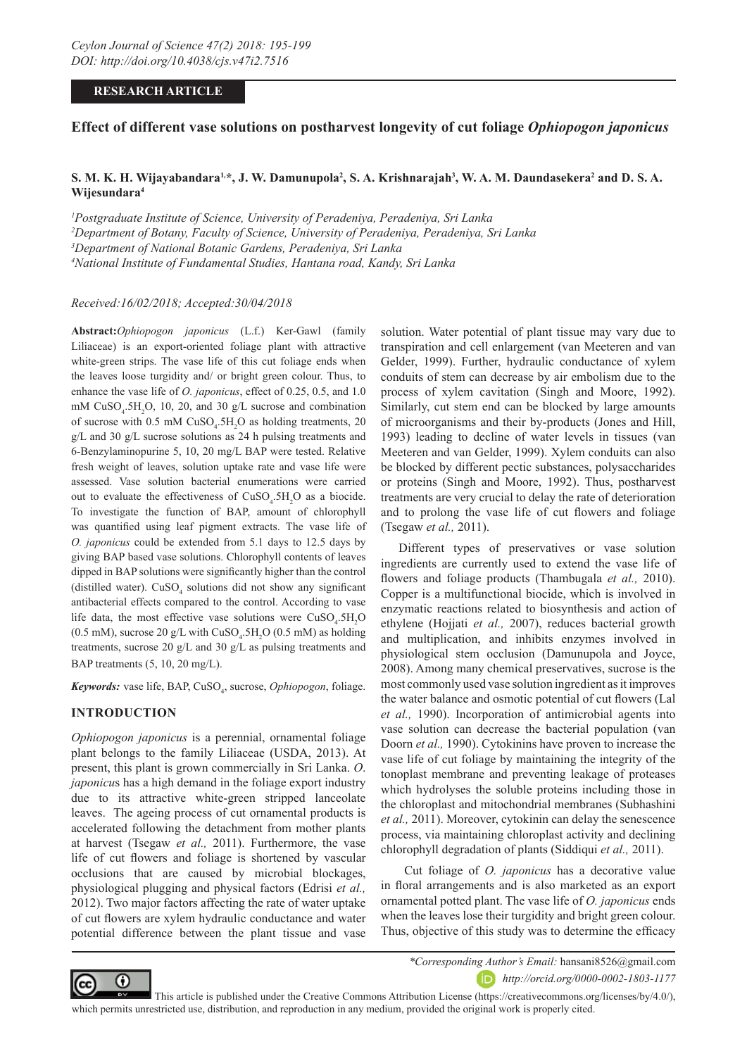### **RESEARCH ARTICLE**

# **Effect of different vase solutions on postharvest longevity of cut foliage** *Ophiopogon japonicus*

# ${\bf S.~M.~K.~H.~W}$ ijayabandara<sup>1,\*</sup>, J. W. Damunupola<sup>2</sup>, S. A. Krishnarajah $^3$ , W. A. M. Daundasekera $^2$  and D. S. A. **Wijesundara4**

 *Postgraduate Institute of Science, University of Peradeniya, Peradeniya, Sri Lanka Department of Botany, Faculty of Science, University of Peradeniya, Peradeniya, Sri Lanka Department of National Botanic Gardens, Peradeniya, Sri Lanka National Institute of Fundamental Studies, Hantana road, Kandy, Sri Lanka*

*Received:16/02/2018; Accepted:30/04/2018*

**Abstract:***Ophiopogon japonicus* (L.f.) Ker-Gawl (family Liliaceae) is an export-oriented foliage plant with attractive white-green strips. The vase life of this cut foliage ends when the leaves loose turgidity and/ or bright green colour. Thus, to enhance the vase life of *O. japonicus*, effect of 0.25, 0.5, and 1.0 mM  $CuSO<sub>4</sub>$ :5H<sub>2</sub>O, 10, 20, and 30 g/L sucrose and combination of sucrose with  $0.5 \text{ mM }$  CuSO<sub>4</sub>.5H<sub>2</sub>O as holding treatments, 20 g/L and 30 g/L sucrose solutions as 24 h pulsing treatments and 6*-*Benzylaminopurine 5, 10, 20 mg/L BAP were tested. Relative fresh weight of leaves, solution uptake rate and vase life were assessed. Vase solution bacterial enumerations were carried out to evaluate the effectiveness of  $CuSO<sub>4</sub>$ .5H<sub>2</sub>O as a biocide. To investigate the function of BAP, amount of chlorophyll was quantified using leaf pigment extracts. The vase life of *O. japonicus* could be extended from 5.1 days to 12.5 days by giving BAP based vase solutions. Chlorophyll contents of leaves dipped in BAP solutions were significantly higher than the control (distilled water).  $CuSO<sub>4</sub>$  solutions did not show any significant antibacterial effects compared to the control. According to vase life data, the most effective vase solutions were  $CuSO<sub>4</sub>$ .5H<sub>2</sub>O  $(0.5 \text{ mM})$ , sucrose 20 g/L with CuSO<sub>4</sub>.5H<sub>2</sub>O (0.5 mM) as holding treatments, sucrose 20 g/L and 30 g/L as pulsing treatments and BAP treatments (5, 10, 20 mg/L).

**Keywords:** vase life, BAP, CuSO<sub>4</sub>, sucrose, *Ophiopogon*, foliage.

#### **INTRODUCTION**

*Ophiopogon japonicus* is a perennial, ornamental foliage plant belongs to the family Liliaceae (USDA, 2013). At present, this plant is grown commercially in Sri Lanka. *O*. *japonicu*s has a high demand in the foliage export industry due to its attractive white-green stripped lanceolate leaves. The ageing process of cut ornamental products is accelerated following the detachment from mother plants at harvest (Tsegaw *et al.,* 2011). Furthermore, the vase life of cut flowers and foliage is shortened by vascular occlusions that are caused by microbial blockages, physiological plugging and physical factors (Edrisi *et al.,*  2012). Two major factors affecting the rate of water uptake of cut flowers are xylem hydraulic conductance and water potential difference between the plant tissue and vase

solution. Water potential of plant tissue may vary due to transpiration and cell enlargement (van Meeteren and van Gelder, 1999). Further, hydraulic conductance of xylem conduits of stem can decrease by air embolism due to the process of xylem cavitation (Singh and Moore, 1992). Similarly, cut stem end can be blocked by large amounts of microorganisms and their by-products (Jones and Hill, 1993) leading to decline of water levels in tissues (van Meeteren and van Gelder, 1999). Xylem conduits can also be blocked by different pectic substances, polysaccharides or proteins (Singh and Moore, 1992). Thus, postharvest treatments are very crucial to delay the rate of deterioration and to prolong the vase life of cut flowers and foliage (Tsegaw *et al.,* 2011).

Different types of preservatives or vase solution ingredients are currently used to extend the vase life of flowers and foliage products (Thambugala *et al.,* 2010). Copper is a multifunctional biocide, which is involved in enzymatic reactions related to biosynthesis and action of ethylene (Hojjati *et al.,* 2007), reduces bacterial growth and multiplication, and inhibits enzymes involved in physiological stem occlusion (Damunupola and Joyce, 2008). Among many chemical preservatives, sucrose is the most commonly used vase solution ingredient as it improves the water balance and osmotic potential of cut flowers (Lal *et al.,* 1990). Incorporation of antimicrobial agents into vase solution can decrease the bacterial population (van Doorn *et al.,* 1990). Cytokinins have proven to increase the vase life of cut foliage by maintaining the integrity of the tonoplast membrane and preventing leakage of proteases which hydrolyses the soluble proteins including those in the chloroplast and mitochondrial membranes (Subhashini *et al.,* 2011). Moreover, cytokinin can delay the senescence process, via maintaining chloroplast activity and declining chlorophyll degradation of plants (Siddiqui *et al.,* 2011).

 Cut foliage of *O. japonicus* has a decorative value in floral arrangements and is also marketed as an export ornamental potted plant. The vase life of *O. japonicus* ends when the leaves lose their turgidity and bright green colour. Thus, objective of this study was to determine the efficacy



*\*Corresponding Author's Email:* hansani8526@gmail.com

*http://orcid.org/0000-0002-1803-1177*

 This article is published under the Creative Commons Attribution License (https://creativecommons.org/licenses/by/4.0/), which permits unrestricted use, distribution, and reproduction in any medium, provided the original work is properly cited.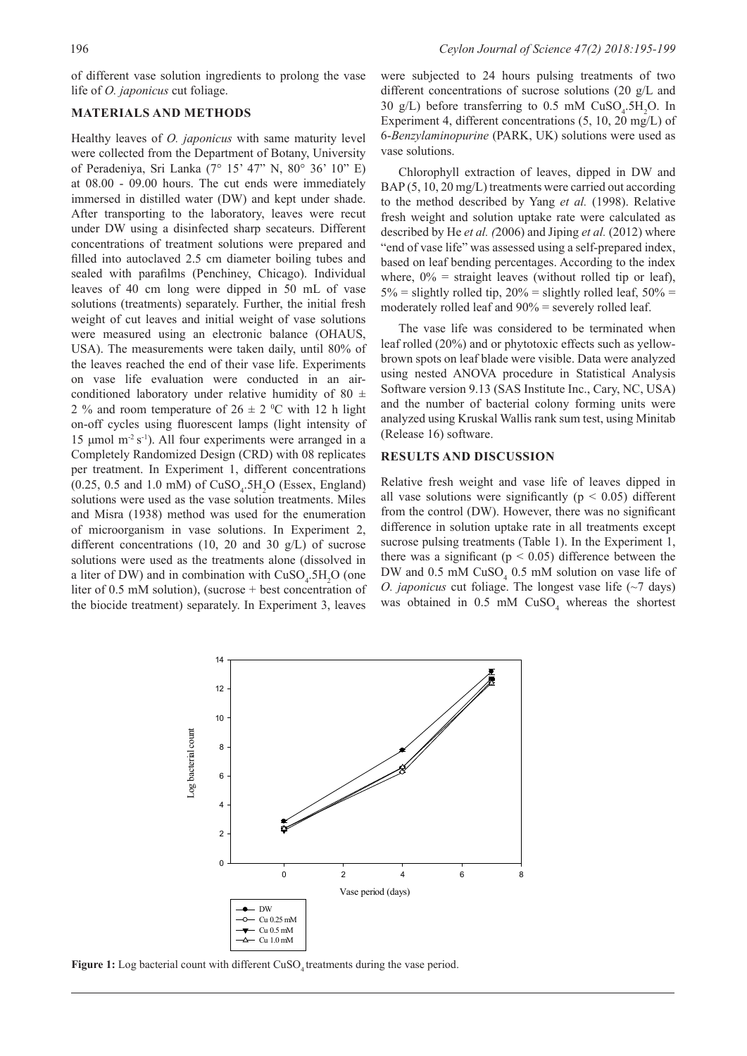of different vase solution ingredients to prolong the vase life of *O. japonicus* cut foliage.

#### **MATERIALS AND METHODS**

Healthy leaves of *O. japonicus* with same maturity level were collected from the Department of Botany, University of Peradeniya, Sri Lanka (7° 15' 47" N, 80° 36' 10" E) at 08.00 - 09.00 hours. The cut ends were immediately immersed in distilled water (DW) and kept under shade. After transporting to the laboratory, leaves were recut under DW using a disinfected sharp secateurs. Different concentrations of treatment solutions were prepared and filled into autoclaved 2.5 cm diameter boiling tubes and sealed with parafilms (Penchiney, Chicago). Individual leaves of 40 cm long were dipped in 50 mL of vase solutions (treatments) separately. Further, the initial fresh weight of cut leaves and initial weight of vase solutions were measured using an electronic balance (OHAUS, USA). The measurements were taken daily, until 80% of the leaves reached the end of their vase life. Experiments on vase life evaluation were conducted in an airconditioned laboratory under relative humidity of 80  $\pm$ 2 % and room temperature of  $26 \pm 2$  °C with 12 h light on-off cycles using fluorescent lamps (light intensity of 15 μmol m-2 s-1). All four experiments were arranged in a Completely Randomized Design (CRD) with 08 replicates per treatment. In Experiment 1, different concentrations  $(0.25, 0.5 \text{ and } 1.0 \text{ mM})$  of  $CuSO_4.5H_2O$  (Essex, England) solutions were used as the vase solution treatments. Miles and Misra (1938) method was used for the enumeration of microorganism in vase solutions. In Experiment 2, different concentrations (10, 20 and 30  $g/L$ ) of sucrose solutions were used as the treatments alone (dissolved in a liter of DW) and in combination with  $CuSO<sub>4</sub>$ .5H<sub>2</sub>O (one) liter of 0.5 mM solution), (sucrose + best concentration of the biocide treatment) separately. In Experiment 3, leaves

were subjected to 24 hours pulsing treatments of two different concentrations of sucrose solutions (20 g/L and 30 g/L) before transferring to  $0.5$  mM  $CuSO<sub>4</sub>$ .5H<sub>2</sub>O. In Experiment 4, different concentrations (5, 10, 20 mg/L) of 6-*Benzylaminopurine* (PARK, UK) solutions were used as vase solutions.

Chlorophyll extraction of leaves, dipped in DW and BAP (5, 10, 20 mg/L) treatments were carried out according to the method described by Yang *et al.* (1998). Relative fresh weight and solution uptake rate were calculated as described by He *et al. (*2006) and Jiping *et al.* (2012) where "end of vase life" was assessed using a self-prepared index, based on leaf bending percentages. According to the index where,  $0\%$  = straight leaves (without rolled tip or leaf),  $5\%$  = slightly rolled tip,  $20\%$  = slightly rolled leaf,  $50\%$  = moderately rolled leaf and 90% = severely rolled leaf.

The vase life was considered to be terminated when leaf rolled (20%) and or phytotoxic effects such as yellowbrown spots on leaf blade were visible. Data were analyzed using nested ANOVA procedure in Statistical Analysis Software version 9.13 (SAS Institute Inc., Cary, NC, USA) and the number of bacterial colony forming units were analyzed using Kruskal Wallis rank sum test, using Minitab (Release 16) software.

#### **RESULTS AND DISCUSSION**

Relative fresh weight and vase life of leaves dipped in all vase solutions were significantly ( $p < 0.05$ ) different from the control (DW). However, there was no significant difference in solution uptake rate in all treatments except sucrose pulsing treatments (Table 1). In the Experiment 1, there was a significant ( $p < 0.05$ ) difference between the DW and  $0.5$  mM  $CuSO<sub>4</sub>$  0.5 mM solution on vase life of *O. japonicus* cut foliage. The longest vase life (~7 days) was obtained in  $0.5$  mM  $CuSO<sub>4</sub>$  whereas the shortest



Figure 1: Log bacterial count with different CuSO<sub>4</sub> treatments during the vase period.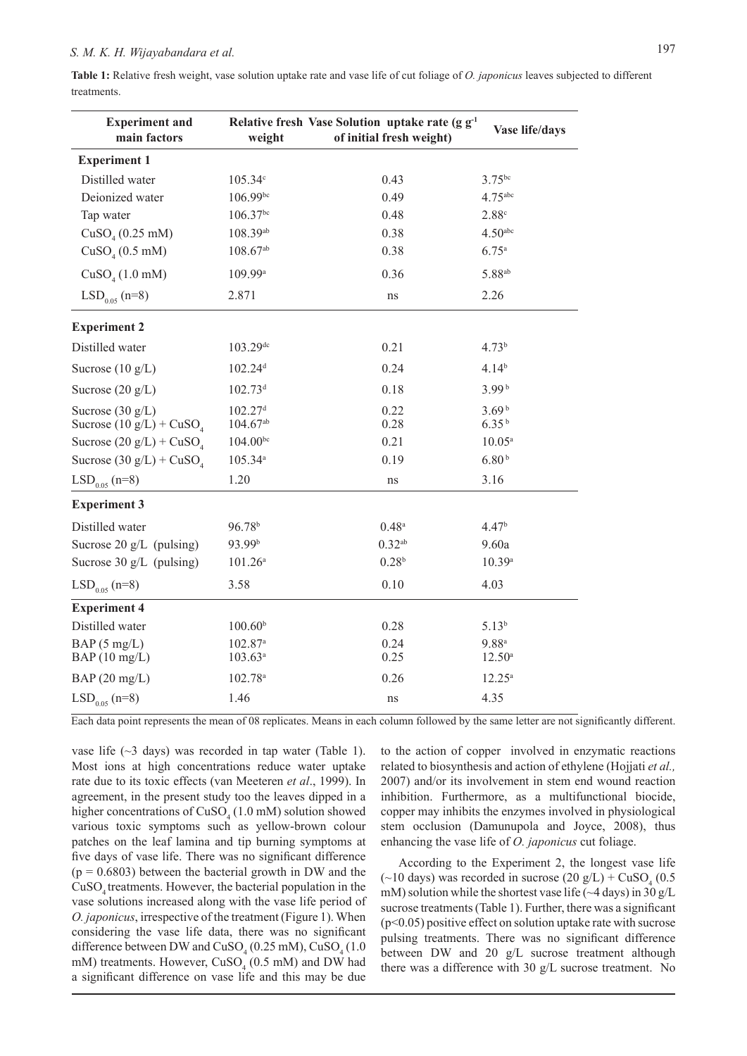**Table 1:** Relative fresh weight, vase solution uptake rate and vase life of cut foliage of *O. japonicus* leaves subjected to different treatments.

| <b>Experiment and</b><br>main factors            | weight                                 | Relative fresh Vase Solution uptake rate (g g <sup>-1</sup><br>of initial fresh weight) | Vase life/days                         |  |
|--------------------------------------------------|----------------------------------------|-----------------------------------------------------------------------------------------|----------------------------------------|--|
| <b>Experiment 1</b>                              |                                        |                                                                                         |                                        |  |
| Distilled water                                  | 105.34c                                | 0.43                                                                                    | $3.75^{bc}$                            |  |
| Deionized water                                  | 106.99bc                               | 0.49                                                                                    | $4.75$ <sup>abc</sup>                  |  |
| Tap water                                        | $106.37^{bc}$                          | 0.48                                                                                    | 2.88c                                  |  |
| CuSO <sub>4</sub> (0.25 mM)                      | 108.39ab                               | 0.38                                                                                    | 4.50 <sup>abc</sup>                    |  |
| CuSO <sub>4</sub> (0.5 mM)                       | $108.67^{ab}$                          | 0.38                                                                                    | 6.75a                                  |  |
| CuSO <sub>4</sub> (1.0 mM)                       | 109.99 <sup>a</sup>                    | 0.36                                                                                    | $5.88^{ab}$                            |  |
| $LSD0.05$ (n=8)                                  | 2.871                                  | ns                                                                                      | 2.26                                   |  |
| <b>Experiment 2</b>                              |                                        |                                                                                         |                                        |  |
| Distilled water                                  | 103.29dc                               | 0.21                                                                                    | 4.73 <sup>b</sup>                      |  |
| Sucrose $(10 \text{ g/L})$                       | 102.24 <sup>d</sup>                    | 0.24                                                                                    | 4.14 <sup>b</sup>                      |  |
| Sucrose $(20 \text{ g/L})$                       | $102.73$ <sup>d</sup>                  | 0.18                                                                                    | 3.99 <sup>b</sup>                      |  |
| Sucrose $(30 g/L)$<br>Sucrose $(10 g/L) + CuSO4$ | $102.27$ <sup>d</sup><br>$104.67^{ab}$ | 0.22<br>0.28                                                                            | 3.69 <sup>b</sup><br>6.35 <sup>b</sup> |  |
| Sucrose $(20 g/L) + CuSO4$                       | $104.00^{bc}$                          | 0.21                                                                                    | $10.05^a$                              |  |
| Sucrose $(30 g/L) + CuSO4$                       | 105.34 <sup>a</sup>                    | 0.19                                                                                    | 6.80 <sup>b</sup>                      |  |
| $LSD0.05$ (n=8)                                  | 1.20                                   | ns                                                                                      | 3.16                                   |  |
| <b>Experiment 3</b>                              |                                        |                                                                                         |                                        |  |
| Distilled water                                  | 96.78 <sup>b</sup>                     | $0.48^{a}$                                                                              | 4.47 <sup>b</sup>                      |  |
| Sucrose $20 \text{ g/L}$ (pulsing)               | 93.99b                                 | $0.32$ <sup>ab</sup>                                                                    | 9.60a                                  |  |
| Sucrose 30 g/L (pulsing)                         | $101.26^a$                             | 0.28 <sup>b</sup>                                                                       | 10.39a                                 |  |
| $LSD_{0.05}$ (n=8)                               | 3.58                                   | 0.10                                                                                    | 4.03                                   |  |
| <b>Experiment 4</b>                              |                                        |                                                                                         |                                        |  |
| Distilled water                                  | 100.60 <sup>b</sup>                    | 0.28                                                                                    | $5.13^{b}$                             |  |
| BAP(5 mg/L)<br>BAP(10 mg/L)                      | $102.87$ <sup>a</sup><br>$103.63^a$    | 0.24<br>0.25                                                                            | $9.88^{a}$<br>$12.50^{\circ}$          |  |
| BAP(20 mg/L)                                     | 102.78 <sup>a</sup>                    | 0.26                                                                                    | $12.25^a$                              |  |
| $LSD0.05$ (n=8)                                  | 1.46                                   | ns                                                                                      | 4.35                                   |  |

Each data point represents the mean of 08 replicates. Means in each column followed by the same letter are not significantly different.

vase life (~3 days) was recorded in tap water (Table 1). Most ions at high concentrations reduce water uptake rate due to its toxic effects (van Meeteren *et al*., 1999). In agreement, in the present study too the leaves dipped in a higher concentrations of  $CuSO<sub>4</sub>(1.0 \text{ mM})$  solution showed various toxic symptoms such as yellow-brown colour patches on the leaf lamina and tip burning symptoms at five days of vase life. There was no significant difference  $(p = 0.6803)$  between the bacterial growth in DW and the CuSO, treatments. However, the bacterial population in the vase solutions increased along with the vase life period of *O. japonicus*, irrespective of the treatment (Figure 1). When considering the vase life data, there was no significant difference between DW and  $CuSO_4(0.25 \text{ mM})$ ,  $CuSO_4(1.0 \text{ m})$ mM) treatments. However,  $CuSO<sub>4</sub>$  (0.5 mM) and DW had a significant difference on vase life and this may be due

to the action of copper involved in enzymatic reactions related to biosynthesis and action of ethylene (Hojjati *et al.,* 2007) and/or its involvement in stem end wound reaction inhibition. Furthermore, as a multifunctional biocide, copper may inhibits the enzymes involved in physiological stem occlusion (Damunupola and Joyce, 2008), thus enhancing the vase life of *O. japonicus* cut foliage.

According to the Experiment 2, the longest vase life  $(\sim] 10 \text{ days})$  was recorded in sucrose  $(20 \text{ g/L}) + \text{CuSO}_4 (0.5 \text{ g/m})$ mM) solution while the shortest vase life ( $\sim$ 4 days) in 30 g/L sucrose treatments (Table 1). Further, there was a significant  $(p<0.05)$  positive effect on solution uptake rate with sucrose pulsing treatments. There was no significant difference between DW and 20 g/L sucrose treatment although there was a difference with 30 g/L sucrose treatment. No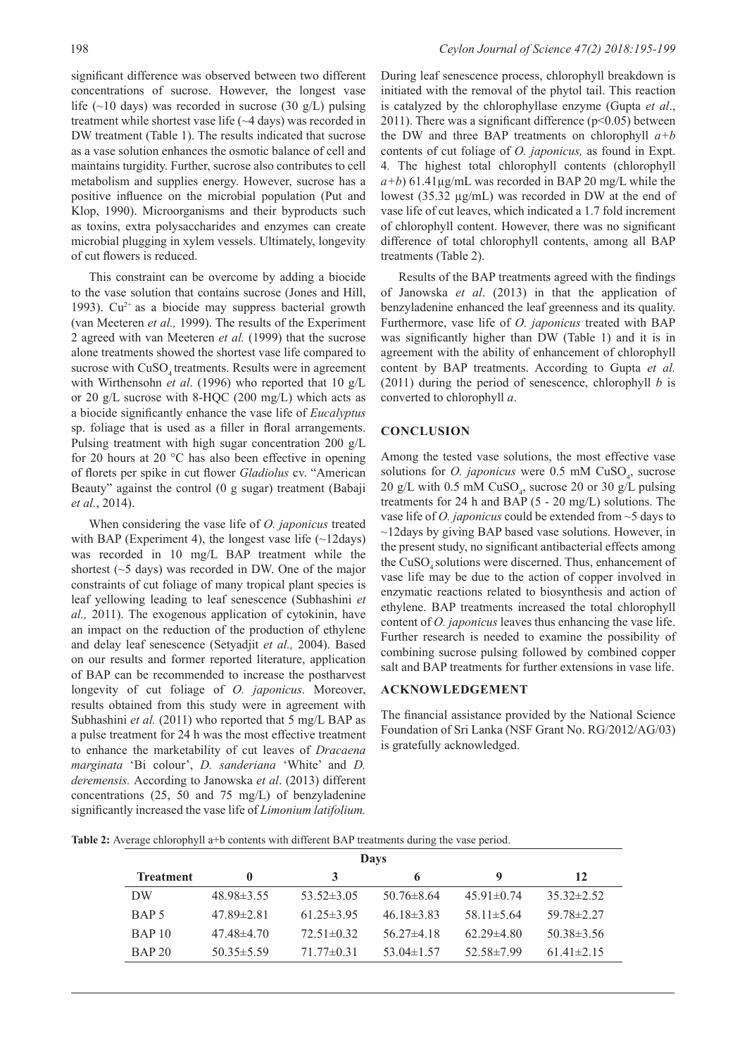significant difference was observed between two different concentrations of sucrose. However, the longest vase life (~10 days) was recorded in sucrose (30 g/L) pulsing treatment while shortest vase life (~4 days) was recorded in DW treatment (Table 1). The results indicated that sucrose as a vase solution enhances the osmotic balance of cell and maintains turgidity. Further, sucrose also contributes to cell metabolism and supplies energy. However, sucrose has a positive influence on the microbial population (Put and Klop, 1990). Microorganisms and their byproducts such as toxins, extra polysaccharides and enzymes can create microbial plugging in xylem vessels. Ultimately, longevity of cut flowers is reduced.

This constraint can be overcome by adding a biocide to the vase solution that contains sucrose (Jones and Hill, 1993).  $Cu^{2+}$  as a biocide may suppress bacterial growth (van Meeteren *et al.,* 1999). The results of the Experiment 2 agreed with van Meeteren *et al.* (1999) that the sucrose alone treatments showed the shortest vase life compared to sucrose with CuSO<sub>4</sub> treatments. Results were in agreement with Wirthensohn *et al*. (1996) who reported that 10 g/L or 20  $g/L$  sucrose with 8-HOC (200 mg/L) which acts as a biocide significantly enhance the vase life of *Eucalyptus*  sp. foliage that is used as a filler in floral arrangements. Pulsing treatment with high sugar concentration 200 g/L for 20 hours at 20 °C has also been effective in opening of florets per spike in cut flower *Gladiolus* cv. "American Beauty" against the control (0 g sugar) treatment (Babaji *et al.*, 2014).

When considering the vase life of *O. japonicus* treated with BAP (Experiment 4), the longest vase life  $(\sim 12 \text{days})$ was recorded in 10 mg/L BAP treatment while the shortest (~5 days) was recorded in DW. One of the major constraints of cut foliage of many tropical plant species is leaf yellowing leading to leaf senescence (Subhashini *et al.,* 2011). The exogenous application of cytokinin, have an impact on the reduction of the production of ethylene and delay leaf senescence (Setyadjit *et al.,* 2004). Based on our results and former reported literature, application of BAP can be recommended to increase the postharvest longevity of cut foliage of *O. japonicus*. Moreover, results obtained from this study were in agreement with Subhashini *et al.* (2011) who reported that 5 mg/L BAP as a pulse treatment for 24 h was the most effective treatment to enhance the marketability of cut leaves of *Dracaena marginata* 'Bi colour', *D. sanderiana* 'White' and *D. deremensis.* According to Janowska *et al*. (2013) different concentrations (25, 50 and 75 mg/L) of benzyladenine significantly increased the vase life of *Limonium latifolium.* 

During leaf senescence process, chlorophyll breakdown is initiated with the removal of the phytol tail. This reaction is catalyzed by the chlorophyllase enzyme (Gupta *et al*., 2011). There was a significant difference  $(p<0.05)$  between the DW and three BAP treatments on chlorophyll *a+b* contents of cut foliage of *O. japonicus,* as found in Expt. 4*.* The highest total chlorophyll contents (chlorophyll  $a+b$ ) 61.41 $\mu$ g/mL was recorded in BAP 20 mg/L while the lowest (35.32 µg/mL) was recorded in DW at the end of vase life of cut leaves, which indicated a 1.7 fold increment of chlorophyll content. However, there was no significant difference of total chlorophyll contents, among all BAP treatments (Table 2).

Results of the BAP treatments agreed with the findings of Janowska *et al*. (2013) in that the application of benzyladenine enhanced the leaf greenness and its quality. Furthermore, vase life of *O. japonicus* treated with BAP was significantly higher than DW (Table 1) and it is in agreement with the ability of enhancement of chlorophyll content by BAP treatments. According to Gupta *et al.* (2011) during the period of senescence, chlorophyll *b* is converted to chlorophyll *a*.

## **CONCLUSION**

Among the tested vase solutions, the most effective vase solutions for *O. japonicus* were  $0.5$  mM  $CuSO<sub>4</sub>$ , sucrose 20 g/L with 0.5 mM  $CuSO_4$ , sucrose 20 or 30 g/L pulsing treatments for 24 h and BAP (5 - 20 mg/L) solutions. The vase life of *O. japonicus* could be extended from ~5 days to ~12days by giving BAP based vase solutions. However, in the present study, no significant antibacterial effects among the CuSO<sub>4</sub> solutions were discerned. Thus, enhancement of vase life may be due to the action of copper involved in enzymatic reactions related to biosynthesis and action of ethylene. BAP treatments increased the total chlorophyll content of *O. japonicus* leaves thus enhancing the vase life. Further research is needed to examine the possibility of combining sucrose pulsing followed by combined copper salt and BAP treatments for further extensions in vase life.

#### **ACKNOWLEDGEMENT**

The financial assistance provided by the National Science Foundation of Sri Lanka (NSF Grant No. RG/2012/AG/03) is gratefully acknowledged.

| Table 2: Average chlorophyll a+b contents with different BAP treatments during the vase period. |  |
|-------------------------------------------------------------------------------------------------|--|
|-------------------------------------------------------------------------------------------------|--|

| Days             |                  |                  |                  |                  |                  |  |  |  |  |
|------------------|------------------|------------------|------------------|------------------|------------------|--|--|--|--|
| <b>Treatment</b> | $\mathbf{0}$     | 3                | 6                | 9                | 12               |  |  |  |  |
| DW               | $48.98\pm3.55$   | $53.52 \pm 3.05$ | $50.76 \pm 8.64$ | $45.91 \pm 0.74$ | $35.32 \pm 2.52$ |  |  |  |  |
| BAP <sub>5</sub> | $47.89 \pm 2.81$ | $61.25 \pm 3.95$ | $46.18\pm3.83$   | 58.11 $\pm$ 5.64 | $59.78 \pm 2.27$ |  |  |  |  |
| <b>BAP 10</b>    | $47.48\pm4.70$   | $72.51 \pm 0.32$ | $56.27\pm4.18$   | $62.29\pm4.80$   | $50.38\pm3.56$   |  |  |  |  |
| <b>BAP 20</b>    | $50.35 \pm 5.59$ | $71.77\pm0.31$   | $53.04\pm1.57$   | $52.58 \pm 7.99$ | $61.41 \pm 2.15$ |  |  |  |  |